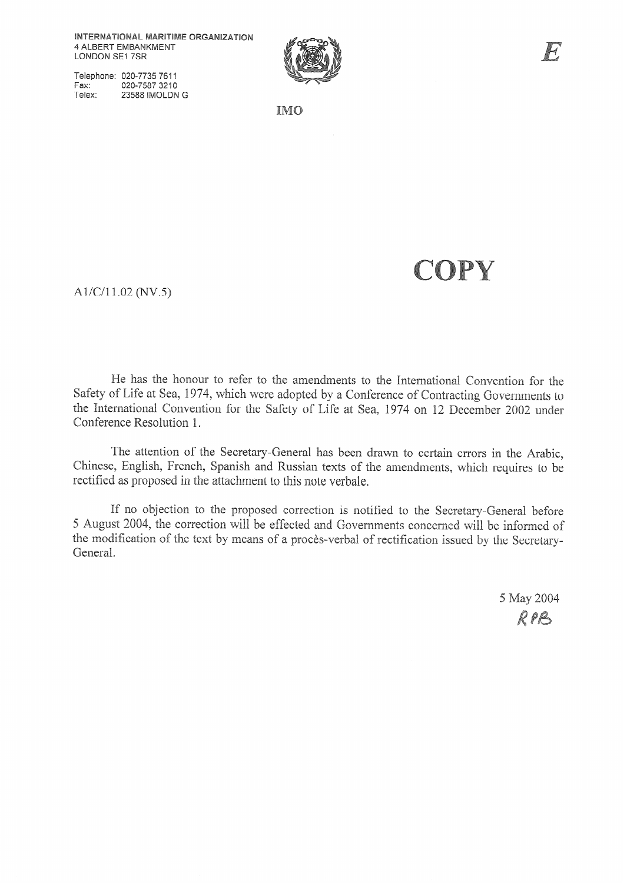Telephone: 020-7735 7611 Fax: 020-7587 3210 Telex: 23588 IMOLDN G



**IMO** 

# COPY

A1/C/11.02 (NV.5)

He has the honour to refer to the amendments to the International Convention for the Safety of Life at Sea, 1974, which were adopted by a Conference of Contracting Governments to the International Convention for the Safety of Life at Sea, 1974 on 12 December 2002 under Conference Resolution 1.

The attention of the Secretary-General has been drawn to certain errors in the Arabic, Chinese, English, French, Spanish and Russian texts of the amendments, which requires to be rectified as proposed in the attachment to this note verbale.

If no objection to the proposed correction is notified to the Secretary-General before 5 August 2004, the correction will be effected and Governments concerned will be informed of the modification of the text by means of a procès-verbal of rectification issued by the Secretary-General.

> 5 May 2004 RPB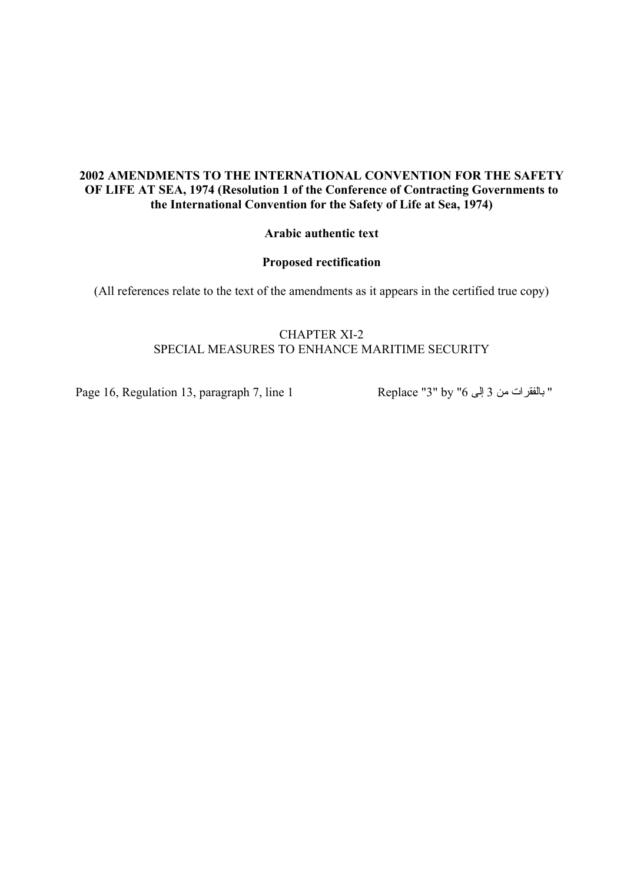### **Arabic authentic text**

### **Proposed rectification**

(All references relate to the text of the amendments as it appears in the certified true copy)

# CHAPTER XI-2 SPECIAL MEASURES TO ENHANCE MARITIME SECURITY

Page 16, Regulation 13, paragraph 7, line 1 Replace "3" by " 6 إلى 3 من بالفقرات"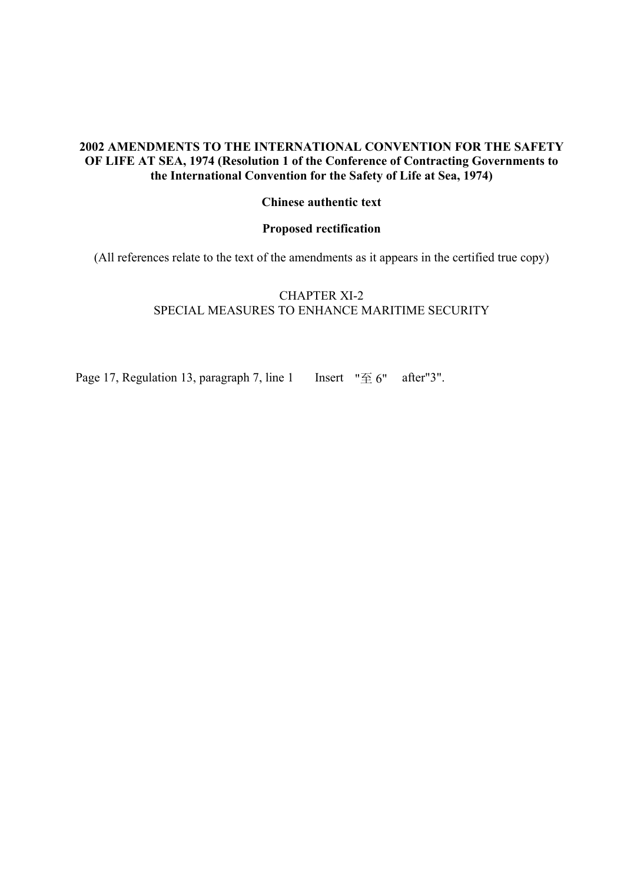# **Chinese authentic text**

#### **Proposed rectification**

(All references relate to the text of the amendments as it appears in the certified true copy)

# CHAPTER XI-2 SPECIAL MEASURES TO ENHANCE MARITIME SECURITY

Page 17, Regulation 13, paragraph 7, line 1 Insert  $\mathbb{T} \oplus \mathbb{S}$  after "3".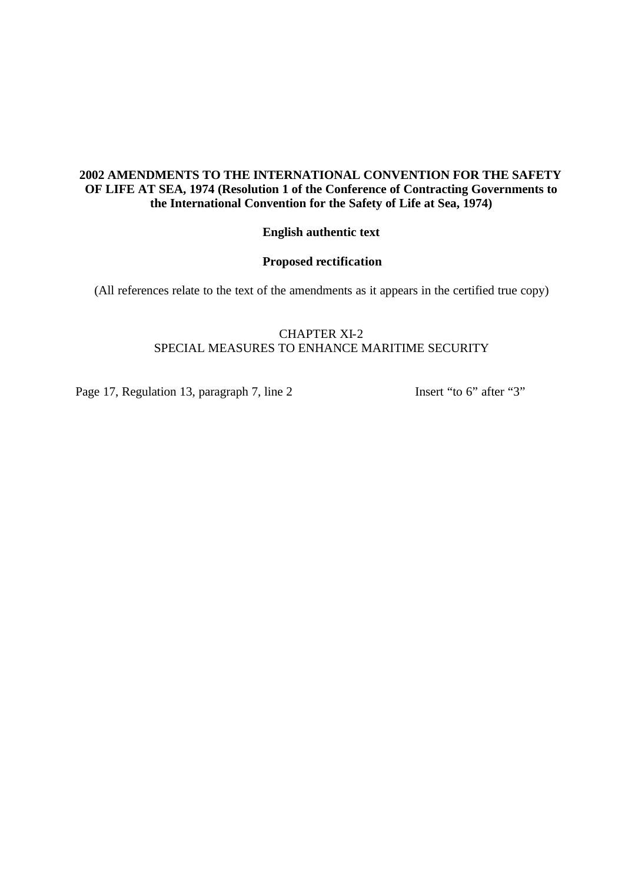## **English authentic text**

## **Proposed rectification**

(All references relate to the text of the amendments as it appears in the certified true copy)

## CHAPTER XI-2 SPECIAL MEASURES TO ENHANCE MARITIME SECURITY

Page 17, Regulation 13, paragraph 7, line 2 Insert "to 6" after "3"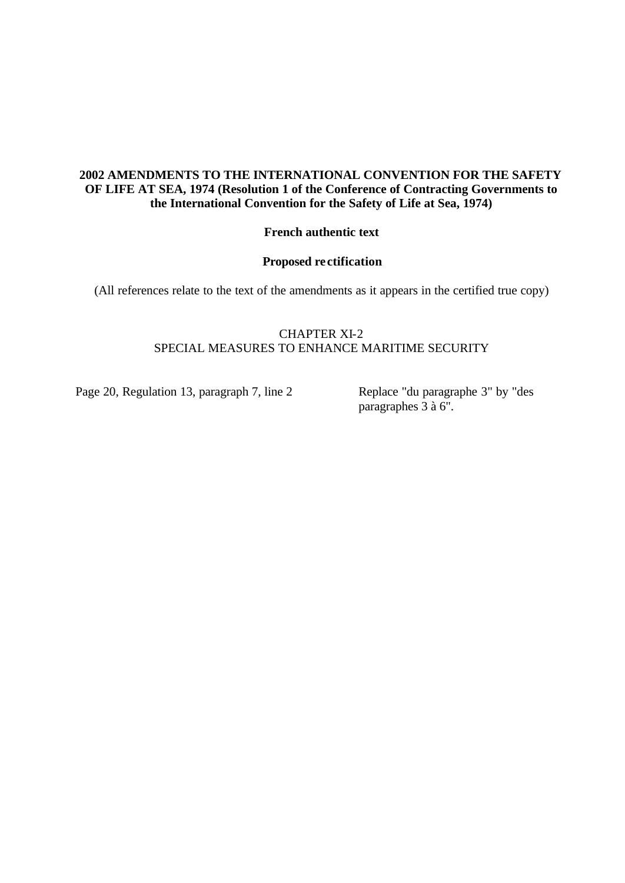### **French authentic text**

#### **Proposed re ctification**

(All references relate to the text of the amendments as it appears in the certified true copy)

## CHAPTER XI-2 SPECIAL MEASURES TO ENHANCE MARITIME SECURITY

Page 20, Regulation 13, paragraph 7, line 2 Replace "du paragraphe 3" by "des

paragraphes  $\overline{3}$  à 6".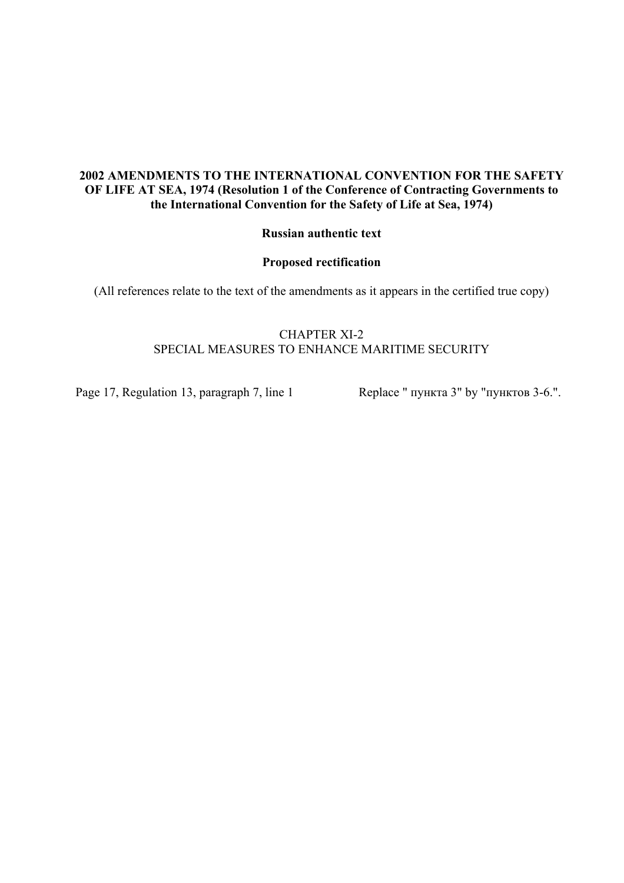### **Russian authentic text**

#### **Proposed rectification**

(All references relate to the text of the amendments as it appears in the certified true copy)

# CHAPTER XI-2 SPECIAL MEASURES TO ENHANCE MARITIME SECURITY

Page 17, Regulation 13, paragraph 7, line 1 Replace " пункта 3" by "пунктов 3-6.".